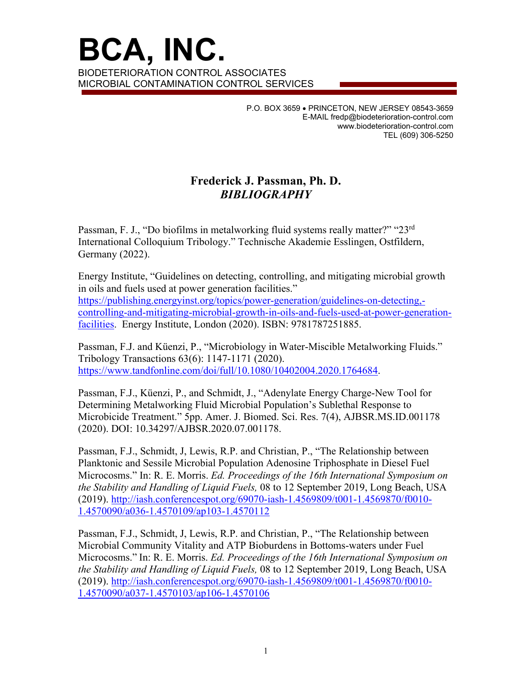**BCA, INC.**  BIODETERIORATION CONTROL ASSOCIATES MICROBIAL CONTAMINATION CONTROL SERVICES

> P.O. BOX 3659 • PRINCETON, NEW JERSEY 08543-3659 E-MAIL fredp@biodeterioration-control.com www.biodeterioration-control.com TEL (609) 306-5250

## **Frederick J. Passman, Ph. D.** *BIBLIOGRAPHY*

Passman, F. J., "Do biofilms in metalworking fluid systems really matter?" "23<sup>rd</sup> International Colloquium Tribology." Technische Akademie Esslingen, Ostfildern, Germany (2022).

Energy Institute, "Guidelines on detecting, controlling, and mitigating microbial growth in oils and fuels used at power generation facilities."

[https://publishing.energyinst.org/topics/power-generation/guidelines-on-detecting,](https://publishing.energyinst.org/topics/power-generation/guidelines-on-detecting,-controlling-and-mitigating-microbial-growth-in-oils-and-fuels-used-at-power-generation-facilities) [controlling-and-mitigating-microbial-growth-in-oils-and-fuels-used-at-power-generation](https://publishing.energyinst.org/topics/power-generation/guidelines-on-detecting,-controlling-and-mitigating-microbial-growth-in-oils-and-fuels-used-at-power-generation-facilities)[facilities.](https://publishing.energyinst.org/topics/power-generation/guidelines-on-detecting,-controlling-and-mitigating-microbial-growth-in-oils-and-fuels-used-at-power-generation-facilities) Energy Institute, London (2020). ISBN: 9781787251885.

Passman, F.J. and Küenzi, P., "Microbiology in Water-Miscible Metalworking Fluids." Tribology Transactions 63(6): 1147-1171 (2020). [https://www.tandfonline.com/doi/full/10.1080/10402004.2020.1764684.](https://www.tandfonline.com/doi/full/10.1080/10402004.2020.1764684)

Passman, F.J., Küenzi, P., and Schmidt, J., "Adenylate Energy Charge-New Tool for Determining Metalworking Fluid Microbial Population's Sublethal Response to Microbicide Treatment." 5pp. Amer. J. Biomed. Sci. Res. 7(4), AJBSR.MS.ID.001178 (2020). DOI: 10.34297/AJBSR.2020.07.001178.

Passman, F.J., Schmidt, J, Lewis, R.P. and Christian, P., "The Relationship between Planktonic and Sessile Microbial Population Adenosine Triphosphate in Diesel Fuel Microcosms." In: R. E. Morris. *Ed. Proceedings of the 16th International Symposium on the Stability and Handling of Liquid Fuels,* 08 to 12 September 2019, Long Beach, USA (2019). [http://iash.conferencespot.org/69070-iash-1.4569809/t001-1.4569870/f0010-](http://iash.conferencespot.org/69070-iash-1.4569809/t001-1.4569870/f0010-1.4570090/a036-1.4570109/ap103-1.4570112) [1.4570090/a036-1.4570109/ap103-1.4570112](http://iash.conferencespot.org/69070-iash-1.4569809/t001-1.4569870/f0010-1.4570090/a036-1.4570109/ap103-1.4570112)

Passman, F.J., Schmidt, J, Lewis, R.P. and Christian, P., "The Relationship between Microbial Community Vitality and ATP Bioburdens in Bottoms-waters under Fuel Microcosms." In: R. E. Morris. *Ed. Proceedings of the 16th International Symposium on the Stability and Handling of Liquid Fuels,* 08 to 12 September 2019, Long Beach, USA (2019). [http://iash.conferencespot.org/69070-iash-1.4569809/t001-1.4569870/f0010-](http://iash.conferencespot.org/69070-iash-1.4569809/t001-1.4569870/f0010-1.4570090/a037-1.4570103/ap106-1.4570106) [1.4570090/a037-1.4570103/ap106-1.4570106](http://iash.conferencespot.org/69070-iash-1.4569809/t001-1.4569870/f0010-1.4570090/a037-1.4570103/ap106-1.4570106)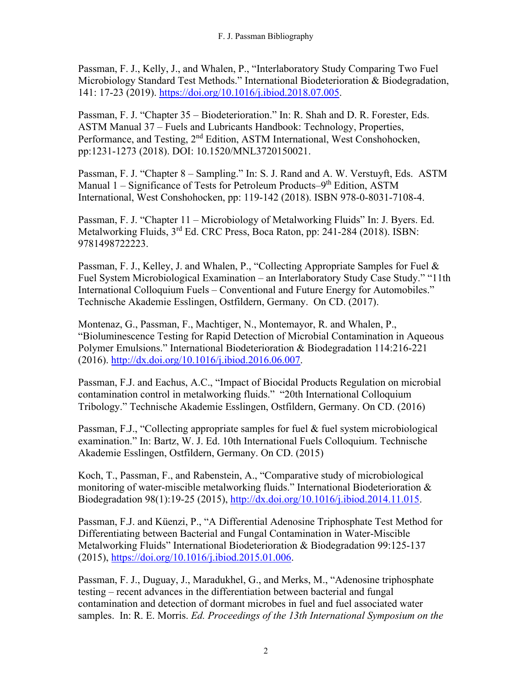Passman, F. J., Kelly, J., and Whalen, P., "Interlaboratory Study Comparing Two Fuel Microbiology Standard Test Methods." International Biodeterioration & Biodegradation, 141: 17-23 (2019). [https://doi.org/10.1016/j.ibiod.2018.07.005.](https://doi.org/10.1016/j.ibiod.2018.07.005)

Passman, F. J. "Chapter 35 – Biodeterioration." In: R. Shah and D. R. Forester, Eds. ASTM Manual 37 – Fuels and Lubricants Handbook: Technology, Properties, Performance, and Testing, 2<sup>nd</sup> Edition, ASTM International, West Conshohocken, pp:1231-1273 (2018). DOI: 10.1520/MNL3720150021.

Passman, F. J. "Chapter 8 – Sampling." In: S. J. Rand and A. W. Verstuyft, Eds. ASTM Manual 1 – Significance of Tests for Petroleum Products–9<sup>th</sup> Edition, ASTM International, West Conshohocken, pp: 119-142 (2018). ISBN 978-0-8031-7108-4.

Passman, F. J. "Chapter 11 – Microbiology of Metalworking Fluids" In: J. Byers. Ed. Metalworking Fluids, 3<sup>rd</sup> Ed. CRC Press, Boca Raton, pp: 241-284 (2018). ISBN: 9781498722223.

Passman, F. J., Kelley, J. and Whalen, P., "Collecting Appropriate Samples for Fuel & Fuel System Microbiological Examination – an Interlaboratory Study Case Study." "11th International Colloquium Fuels – Conventional and Future Energy for Automobiles." Technische Akademie Esslingen, Ostfildern, Germany. On CD. (2017).

Montenaz, G., Passman, F., Machtiger, N., Montemayor, R. and Whalen, P., "Bioluminescence Testing for Rapid Detection of Microbial Contamination in Aqueous Polymer Emulsions." International Biodeterioration & Biodegradation 114:216-221 (2016). [http://dx.doi.org/10.1016/j.ibiod.2016.06.007.](http://dx.doi.org/10.1016/j.ibiod.2016.06.007)

Passman, F.J. and Eachus, A.C., "Impact of Biocidal Products Regulation on microbial contamination control in metalworking fluids." "20th International Colloquium Tribology." Technische Akademie Esslingen, Ostfildern, Germany. On CD. (2016)

Passman, F.J., "Collecting appropriate samples for fuel & fuel system microbiological examination." In: Bartz, W. J. Ed. 10th International Fuels Colloquium. Technische Akademie Esslingen, Ostfildern, Germany. On CD. (2015)

Koch, T., Passman, F., and Rabenstein, A., "Comparative study of microbiological monitoring of water-miscible metalworking fluids." International Biodeterioration & Biodegradation 98(1):19-25 (2015), [http://dx.doi.org/10.1016/j.ibiod.2014.11.015.](http://dx.doi.org/10.1016/j.ibiod.2014.11.015)

Passman, F.J. and Küenzi, P., "A Differential Adenosine Triphosphate Test Method for Differentiating between Bacterial and Fungal Contamination in Water-Miscible Metalworking Fluids" International Biodeterioration & Biodegradation 99:125-137 (2015), https://doi.org/10.1016/j.ibiod.2015.01.006.

Passman, F. J., Duguay, J., Maradukhel, G., and Merks, M., "Adenosine triphosphate testing – recent advances in the differentiation between bacterial and fungal contamination and detection of dormant microbes in fuel and fuel associated water samples. In: R. E. Morris. *Ed. Proceedings of the 13th International Symposium on the*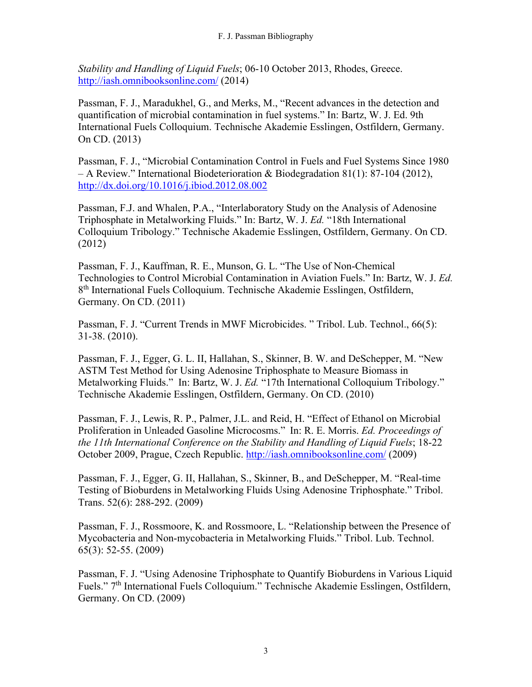*Stability and Handling of Liquid Fuels*; 06-10 October 2013, Rhodes, Greece. <http://iash.omnibooksonline.com/> (2014)

Passman, F. J., Maradukhel, G., and Merks, M., "Recent advances in the detection and quantification of microbial contamination in fuel systems." In: Bartz, W. J. Ed. 9th International Fuels Colloquium. Technische Akademie Esslingen, Ostfildern, Germany. On CD. (2013)

Passman, F. J., "Microbial Contamination Control in Fuels and Fuel Systems Since 1980 – A Review." International Biodeterioration & Biodegradation 81(1): 87-104 (2012), <http://dx.doi.org/10.1016/j.ibiod.2012.08.002>

Passman, F.J. and Whalen, P.A., "Interlaboratory Study on the Analysis of Adenosine Triphosphate in Metalworking Fluids." In: Bartz, W. J. *Ed.* "18th International Colloquium Tribology." Technische Akademie Esslingen, Ostfildern, Germany. On CD. (2012)

Passman, F. J., Kauffman, R. E., Munson, G. L. "The Use of Non-Chemical Technologies to Control Microbial Contamination in Aviation Fuels." In: Bartz, W. J. *Ed.* 8th International Fuels Colloquium. Technische Akademie Esslingen, Ostfildern, Germany. On CD. (2011)

Passman, F. J. "Current Trends in MWF Microbicides. " Tribol. Lub. Technol., 66(5): 31-38. (2010).

Passman, F. J., Egger, G. L. II, Hallahan, S., Skinner, B. W. and DeSchepper, M. "New ASTM Test Method for Using Adenosine Triphosphate to Measure Biomass in Metalworking Fluids." In: Bartz, W. J. *Ed.* "17th International Colloquium Tribology." Technische Akademie Esslingen, Ostfildern, Germany. On CD. (2010)

Passman, F. J., Lewis, R. P., Palmer, J.L. and Reid, H. "Effect of Ethanol on Microbial Proliferation in Unleaded Gasoline Microcosms." In: R. E. Morris. *Ed. Proceedings of the 11th International Conference on the Stability and Handling of Liquid Fuels*; 18-22 October 2009, Prague, Czech Republic.<http://iash.omnibooksonline.com/> (2009)

Passman, F. J., Egger, G. II, Hallahan, S., Skinner, B., and DeSchepper, M. "Real-time Testing of Bioburdens in Metalworking Fluids Using Adenosine Triphosphate." Tribol. Trans. 52(6): 288-292. (2009)

Passman, F. J., Rossmoore, K. and Rossmoore, L. "Relationship between the Presence of Mycobacteria and Non-mycobacteria in Metalworking Fluids." Tribol. Lub. Technol. 65(3): 52-55. (2009)

Passman, F. J. "Using Adenosine Triphosphate to Quantify Bioburdens in Various Liquid Fuels." 7th International Fuels Colloquium." Technische Akademie Esslingen, Ostfildern, Germany. On CD. (2009)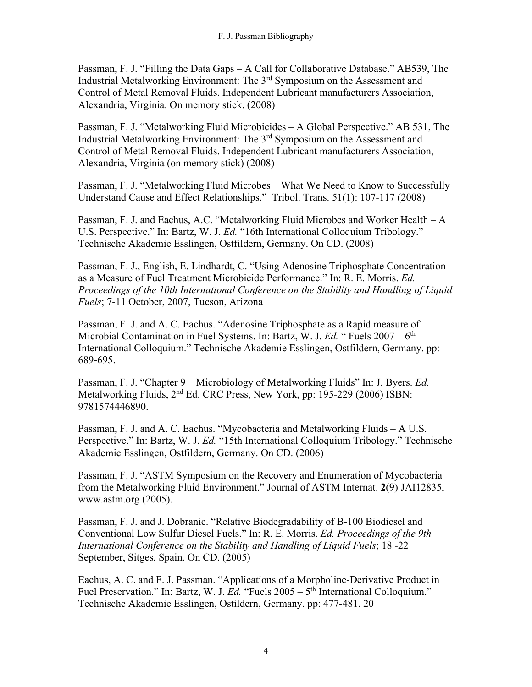Passman, F. J. "Filling the Data Gaps – A Call for Collaborative Database." AB539, The Industrial Metalworking Environment: The 3rd Symposium on the Assessment and Control of Metal Removal Fluids. Independent Lubricant manufacturers Association, Alexandria, Virginia. On memory stick. (2008)

Passman, F. J. "Metalworking Fluid Microbicides – A Global Perspective." AB 531, The Industrial Metalworking Environment: The 3rd Symposium on the Assessment and Control of Metal Removal Fluids. Independent Lubricant manufacturers Association, Alexandria, Virginia (on memory stick) (2008)

Passman, F. J. "Metalworking Fluid Microbes – What We Need to Know to Successfully Understand Cause and Effect Relationships." Tribol. Trans. 51(1): 107-117 (2008)

Passman, F. J. and Eachus, A.C. "Metalworking Fluid Microbes and Worker Health – A U.S. Perspective." In: Bartz, W. J. *Ed.* "16th International Colloquium Tribology." Technische Akademie Esslingen, Ostfildern, Germany. On CD. (2008)

Passman, F. J., English, E. Lindhardt, C. "Using Adenosine Triphosphate Concentration as a Measure of Fuel Treatment Microbicide Performance." In: R. E. Morris. *Ed. Proceedings of the 10th International Conference on the Stability and Handling of Liquid Fuels*; 7-11 October, 2007, Tucson, Arizona

Passman, F. J. and A. C. Eachus. "Adenosine Triphosphate as a Rapid measure of Microbial Contamination in Fuel Systems. In: Bartz, W. J. *Ed.* "Fuels 2007 – 6<sup>th</sup> International Colloquium." Technische Akademie Esslingen, Ostfildern, Germany. pp: 689-695.

Passman, F. J. "Chapter 9 – Microbiology of Metalworking Fluids" In: J. Byers. *Ed.*  Metalworking Fluids, 2<sup>nd</sup> Ed. CRC Press, New York, pp: 195-229 (2006) ISBN: 9781574446890.

Passman, F. J. and A. C. Eachus. "Mycobacteria and Metalworking Fluids – A U.S. Perspective." In: Bartz, W. J. *Ed.* "15th International Colloquium Tribology." Technische Akademie Esslingen, Ostfildern, Germany. On CD. (2006)

Passman, F. J. "ASTM Symposium on the Recovery and Enumeration of Mycobacteria from the Metalworking Fluid Environment." Journal of ASTM Internat. **2**(9) JAI12835, www.astm.org (2005).

Passman, F. J. and J. Dobranic. "Relative Biodegradability of B-100 Biodiesel and Conventional Low Sulfur Diesel Fuels." In: R. E. Morris. *Ed. Proceedings of the 9th International Conference on the Stability and Handling of Liquid Fuels*; 18 -22 September, Sitges, Spain. On CD. (2005)

Eachus, A. C. and F. J. Passman. "Applications of a Morpholine-Derivative Product in Fuel Preservation." In: Bartz, W. J. *Ed.* "Fuels 2005 – 5<sup>th</sup> International Colloquium." Technische Akademie Esslingen, Ostildern, Germany. pp: 477-481. 20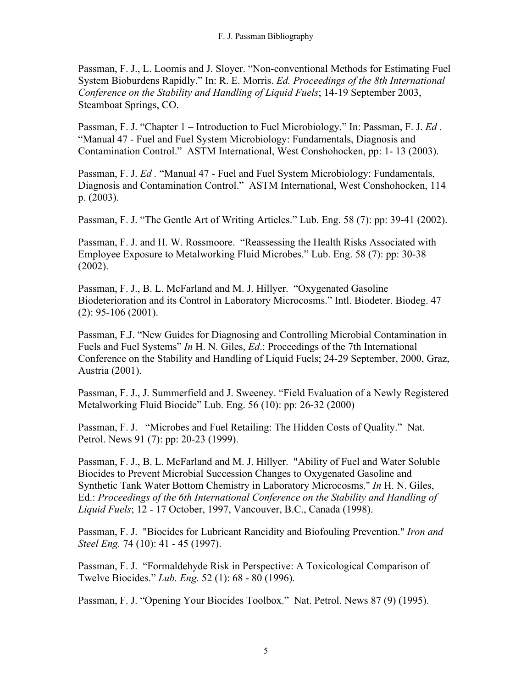Passman, F. J., L. Loomis and J. Sloyer. "Non-conventional Methods for Estimating Fuel System Bioburdens Rapidly." In: R. E. Morris. *Ed. Proceedings of the 8th International Conference on the Stability and Handling of Liquid Fuels*; 14-19 September 2003, Steamboat Springs, CO.

Passman, F. J. "Chapter 1 – Introduction to Fuel Microbiology." In: Passman, F. J. *Ed .* "Manual 47 - Fuel and Fuel System Microbiology: Fundamentals, Diagnosis and Contamination Control." ASTM International, West Conshohocken, pp: 1- 13 (2003).

Passman, F. J. *Ed .* "Manual 47 - Fuel and Fuel System Microbiology: Fundamentals, Diagnosis and Contamination Control." ASTM International, West Conshohocken, 114 p. (2003).

Passman, F. J. "The Gentle Art of Writing Articles." Lub. Eng. 58 (7): pp: 39-41 (2002).

Passman, F. J. and H. W. Rossmoore. "Reassessing the Health Risks Associated with Employee Exposure to Metalworking Fluid Microbes." Lub. Eng. 58 (7): pp: 30-38 (2002).

Passman, F. J., B. L. McFarland and M. J. Hillyer. "Oxygenated Gasoline Biodeterioration and its Control in Laboratory Microcosms." Intl. Biodeter. Biodeg. 47 (2): 95-106 (2001).

Passman, F.J. "New Guides for Diagnosing and Controlling Microbial Contamination in Fuels and Fuel Systems" *In* H. N. Giles, *Ed*.: Proceedings of the 7th International Conference on the Stability and Handling of Liquid Fuels; 24-29 September, 2000, Graz, Austria (2001).

Passman, F. J., J. Summerfield and J. Sweeney. "Field Evaluation of a Newly Registered Metalworking Fluid Biocide" Lub. Eng. 56 (10): pp: 26-32 (2000)

Passman, F. J. "Microbes and Fuel Retailing: The Hidden Costs of Quality." Nat. Petrol. News 91 (7): pp: 20-23 (1999).

Passman, F. J., B. L. McFarland and M. J. Hillyer. "Ability of Fuel and Water Soluble Biocides to Prevent Microbial Succession Changes to Oxygenated Gasoline and Synthetic Tank Water Bottom Chemistry in Laboratory Microcosms." *In* H. N. Giles, Ed.: *Proceedings of the 6th International Conference on the Stability and Handling of Liquid Fuels*; 12 - 17 October, 1997, Vancouver, B.C., Canada (1998).

Passman, F. J. "Biocides for Lubricant Rancidity and Biofouling Prevention." *Iron and Steel Eng.* 74 (10): 41 - 45 (1997).

Passman, F. J. "Formaldehyde Risk in Perspective: A Toxicological Comparison of Twelve Biocides." *Lub. Eng.* 52 (1): 68 - 80 (1996).

Passman, F. J. "Opening Your Biocides Toolbox." Nat. Petrol. News 87 (9) (1995).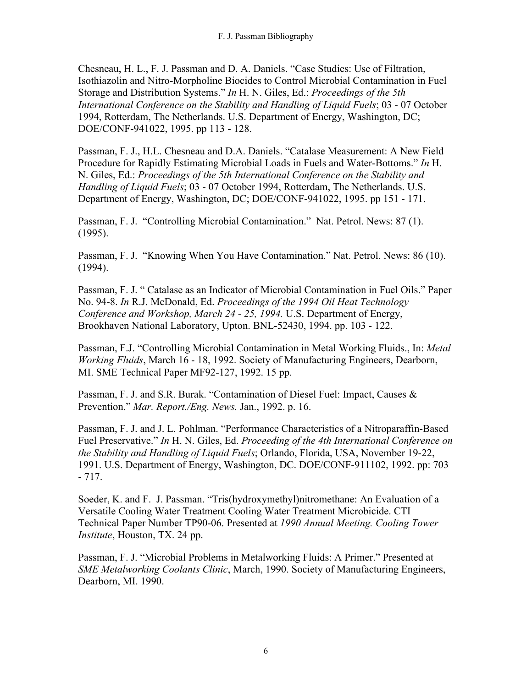Chesneau, H. L., F. J. Passman and D. A. Daniels. "Case Studies: Use of Filtration, Isothiazolin and Nitro-Morpholine Biocides to Control Microbial Contamination in Fuel Storage and Distribution Systems." *In* H. N. Giles, Ed.: *Proceedings of the 5th International Conference on the Stability and Handling of Liquid Fuels*; 03 - 07 October 1994, Rotterdam, The Netherlands. U.S. Department of Energy, Washington, DC; DOE/CONF-941022, 1995. pp 113 - 128.

Passman, F. J., H.L. Chesneau and D.A. Daniels. "Catalase Measurement: A New Field Procedure for Rapidly Estimating Microbial Loads in Fuels and Water-Bottoms." *In* H. N. Giles, Ed.: *Proceedings of the 5th International Conference on the Stability and Handling of Liquid Fuels*; 03 - 07 October 1994, Rotterdam, The Netherlands. U.S. Department of Energy, Washington, DC; DOE/CONF-941022, 1995. pp 151 - 171.

Passman, F. J. "Controlling Microbial Contamination." Nat. Petrol. News: 87 (1). (1995).

Passman, F. J. "Knowing When You Have Contamination." Nat. Petrol. News: 86 (10). (1994).

Passman, F. J. " Catalase as an Indicator of Microbial Contamination in Fuel Oils." Paper No. 94-8. *In* R.J. McDonald, Ed. *Proceedings of the 1994 Oil Heat Technology Conference and Workshop, March 24 - 25, 1994.* U.S. Department of Energy, Brookhaven National Laboratory, Upton. BNL-52430, 1994. pp. 103 - 122.

Passman, F.J. "Controlling Microbial Contamination in Metal Working Fluids., In: *Metal Working Fluids*, March 16 - 18, 1992. Society of Manufacturing Engineers, Dearborn, MI. SME Technical Paper MF92-127, 1992. 15 pp.

Passman, F. J. and S.R. Burak. "Contamination of Diesel Fuel: Impact, Causes & Prevention." *Mar. Report./Eng. News.* Jan., 1992. p. 16.

Passman, F. J. and J. L. Pohlman. "Performance Characteristics of a Nitroparaffin-Based Fuel Preservative." *In* H. N. Giles, Ed. *Proceeding of the 4th International Conference on the Stability and Handling of Liquid Fuels*; Orlando, Florida, USA, November 19-22, 1991. U.S. Department of Energy, Washington, DC. DOE/CONF-911102, 1992. pp: 703 - 717.

Soeder, K. and F. J. Passman. "Tris(hydroxymethyl)nitromethane: An Evaluation of a Versatile Cooling Water Treatment Cooling Water Treatment Microbicide. CTI Technical Paper Number TP90-06. Presented at *1990 Annual Meeting. Cooling Tower Institute*, Houston, TX. 24 pp.

Passman, F. J. "Microbial Problems in Metalworking Fluids: A Primer." Presented at *SME Metalworking Coolants Clinic*, March, 1990. Society of Manufacturing Engineers, Dearborn, MI. 1990.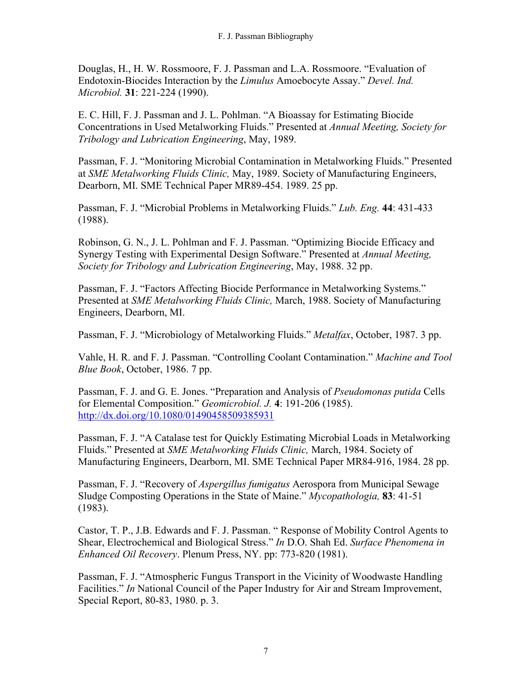Douglas, H., H. W. Rossmoore, F. J. Passman and L.A. Rossmoore. "Evaluation of Endotoxin-Biocides Interaction by the *Limulus* Amoebocyte Assay." *Devel. Ind. Microbiol.* **31**: 221-224 (1990).

E. C. Hill, F. J. Passman and J. L. Pohlman. "A Bioassay for Estimating Biocide Concentrations in Used Metalworking Fluids." Presented at *Annual Meeting, Society for Tribology and Lubrication Engineering*, May, 1989.

Passman, F. J. "Monitoring Microbial Contamination in Metalworking Fluids." Presented at *SME Metalworking Fluids Clinic,* May, 1989. Society of Manufacturing Engineers, Dearborn, MI. SME Technical Paper MR89-454. 1989. 25 pp.

Passman, F. J. "Microbial Problems in Metalworking Fluids." *Lub. Eng.* **44**: 431-433 (1988).

Robinson, G. N., J. L. Pohlman and F. J. Passman. "Optimizing Biocide Efficacy and Synergy Testing with Experimental Design Software." Presented at *Annual Meeting, Society for Tribology and Lubrication Engineering*, May, 1988. 32 pp.

Passman, F. J. "Factors Affecting Biocide Performance in Metalworking Systems." Presented at *SME Metalworking Fluids Clinic,* March, 1988. Society of Manufacturing Engineers, Dearborn, MI.

Passman, F. J. "Microbiology of Metalworking Fluids." *Metalfax*, October, 1987. 3 pp.

Vahle, H. R. and F. J. Passman. "Controlling Coolant Contamination." *Machine and Tool Blue Book*, October, 1986. 7 pp.

Passman, F. J. and G. E. Jones. "Preparation and Analysis of *Pseudomonas putida* Cells for Elemental Composition." *Geomicrobiol. J.* **4**: 191-206 (1985). <http://dx.doi.org/10.1080/01490458509385931>

Passman, F. J. "A Catalase test for Quickly Estimating Microbial Loads in Metalworking Fluids." Presented at *SME Metalworking Fluids Clinic,* March, 1984. Society of Manufacturing Engineers, Dearborn, MI. SME Technical Paper MR84-916, 1984. 28 pp.

Passman, F. J. "Recovery of *Aspergillus fumigatus* Aerospora from Municipal Sewage Sludge Composting Operations in the State of Maine." *Mycopathologia,* **83**: 41-51 (1983).

Castor, T. P., J.B. Edwards and F. J. Passman. " Response of Mobility Control Agents to Shear, Electrochemical and Biological Stress." *In* D.O. Shah Ed. *Surface Phenomena in Enhanced Oil Recovery*. Plenum Press, NY. pp: 773-820 (1981).

Passman, F. J. "Atmospheric Fungus Transport in the Vicinity of Woodwaste Handling Facilities." *In* National Council of the Paper Industry for Air and Stream Improvement, Special Report, 80-83, 1980. p. 3.